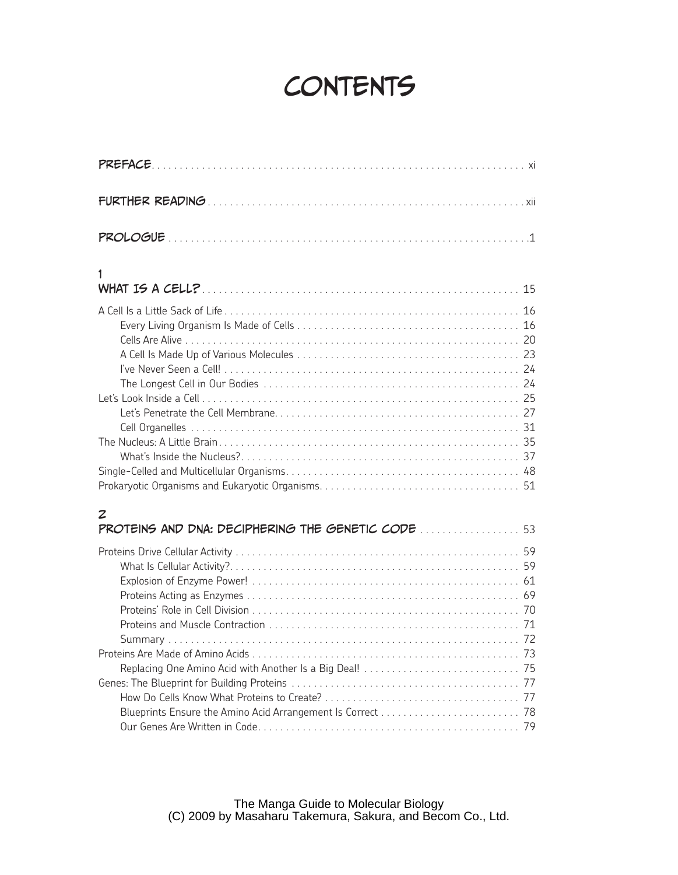## **CONTENTS**

| 1                                                       |  |
|---------------------------------------------------------|--|
|                                                         |  |
| 2<br>PROTEINS AND DNA: DECIPHERING THE GENETIC CODE  53 |  |
|                                                         |  |
|                                                         |  |
|                                                         |  |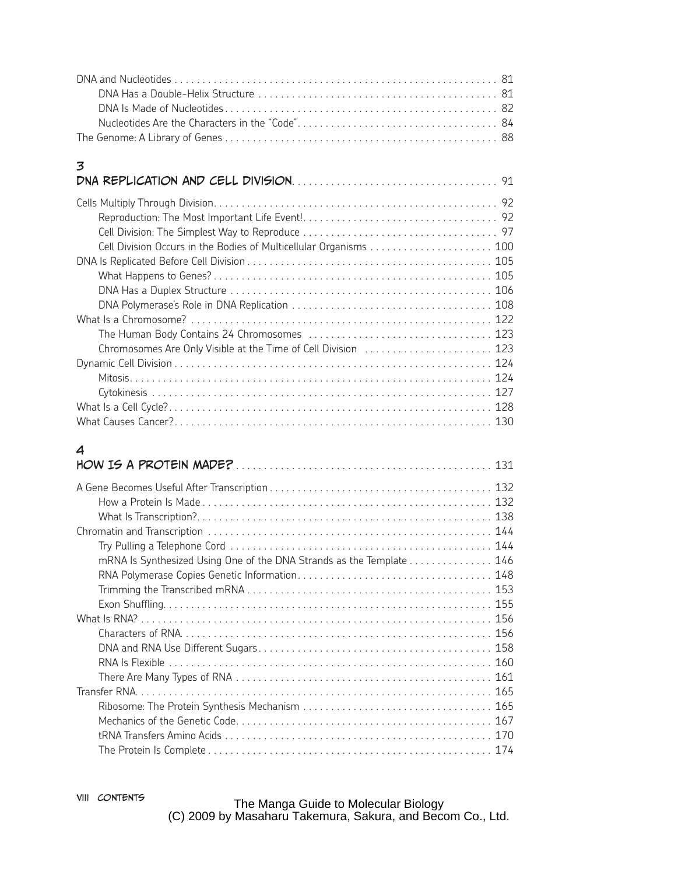| 3                                                                  |  |
|--------------------------------------------------------------------|--|
| Cell Division Occurs in the Bodies of Multicellular Organisms  100 |  |
|                                                                    |  |
| Chromosomes Are Only Visible at the Time of Cell Division  123     |  |
|                                                                    |  |

What Causes Cancer?. . . . . . . . . . . . . . . . . . . . . . . . . . . . . . . . . . . . . . . . . . . . . . . . . . . . . . . . . 130

## 4

|                                                                      | 131 |
|----------------------------------------------------------------------|-----|
|                                                                      |     |
|                                                                      |     |
|                                                                      |     |
|                                                                      |     |
| mRNA Is Synthesized Using One of the DNA Strands as the Template 146 |     |
|                                                                      |     |
|                                                                      |     |
|                                                                      |     |
|                                                                      |     |
|                                                                      |     |
|                                                                      |     |
|                                                                      |     |
|                                                                      |     |
|                                                                      |     |
|                                                                      |     |
|                                                                      |     |
|                                                                      |     |
|                                                                      |     |

The Manga Guide to Molecular Biology (C) 2009 by Masaharu Takemura, Sakura, and Becom Co., Ltd.